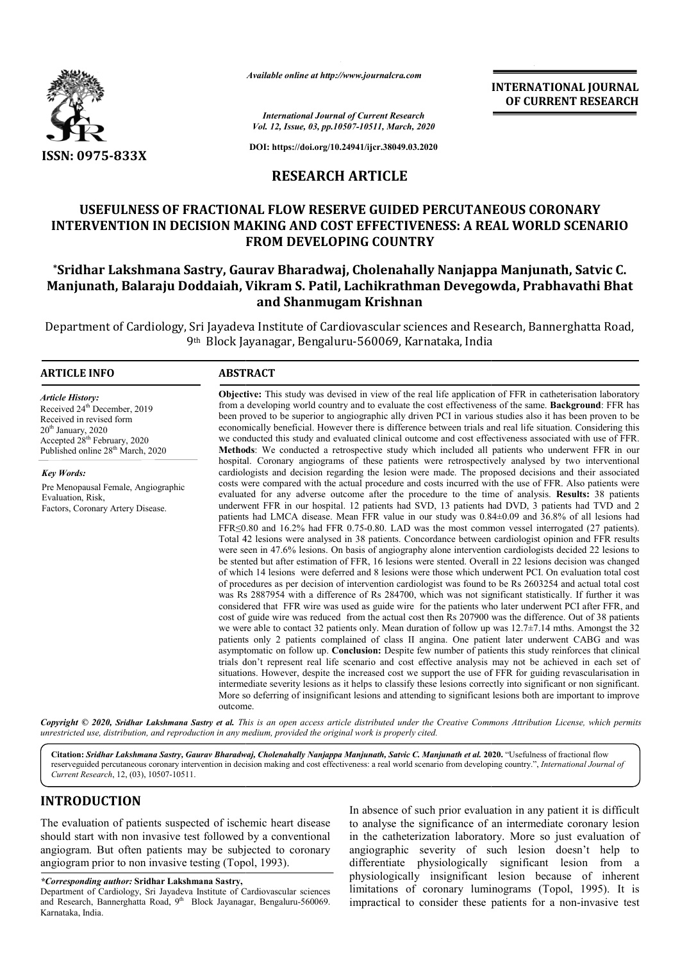

*Available online at http://www.journalcra.com*

**INTERNATIONAL JOURNAL OF CURRENT RESEARCH**

*International Journal of Current Research Vol. 12, Issue, 03, pp.10507-10511, March, 2020*

**DOI: https://doi.org/10.24941/ijcr.38049.03.2020**

### **RESEARCH ARTICLE**

## **USEFULNESS OF FRACTIONAL FLOW RESERVE GUIDED PERCUTANEOUS CORONARY**  INTERVENTION IN DECISION MAKING AND COST EFFECTIVENESS: A REAL WORLD SCENARIO **FROM DEVELOPING COUNTRY**

# **\*Sridhar Lakshmana Sastry, Gaurav Bharadwaj, Cholenahally Nanjappa Manjunath, Satvic C. Manjunath, Balaraju Doddaiah, Vikram S. Patil, Lachikrathman Devegowda, Prabhavathi Bhat**  Sridhar Lakshmana Sastry, Gaurav Bharadwaj, Cholenahally Nanjappa Ma**ı**<br>Anjunath, Balaraju Doddaiah, Vikram S. Patil, Lachikrathman Devegowda,<br>and Shanmugam Krishnan

Department of Cardiology, Sri Jayadeva Institute of Cardiovascular sciences and Research, Bannerghatta Road, 9<sup>th</sup> Block Jayanagar, Bengaluru-560069, Karnataka, India

#### **ARTICLE INFO ABSTRACT**

*Article History:* Received 24<sup>th</sup> December, 2019 Received in revised form  $20<sup>th</sup>$  January,  $2020$ Accepted 28<sup>th</sup> February, 2020 Published online 28<sup>th</sup> March, 2020

*Key Words:* Pre Menopausal Female, Angiographic Evaluation, Risk, Factors, Coronary Artery Disease.

#### **Objective:** This study was devised in view of the real life application of FFR in catheterisation laboratory from a developing world country and to evaluate the cost effectiveness of the same. **Background**: FFR has been proved to be superior to angiographic ally driven PCI in various studies also it has been proven to be economically beneficial. However there is difference between trials and real life situation. Considering this we conducted this study and evaluated clinical outcome and cost effectiveness associated with use of FFR. **Methods** : We conducted a retrospective study which included all patients who underwent FFR in our hospital. Coronary angiograms of these patients were retrospectively analysed by two interventional cardiolog cardiologists and decision regarding the lesion were made. The proposed decisions and their associated costs were compared with the actual procedure and costs incurred with the use of FFR. Also patients were evaluated for any adverse outcome after the procedure to the time of analysis. underwent FFR in our hospital. 12 patients had SVD, 13 patients had DVD, 3 patients had TVD and 2 patients had LMCA disease. Mean FFR value in our study was 0.84±0.09 and 36.8% of all lesions had FFR≤0.80 and 16. ≤0.80 16.2% had FFR 0.75-0.80. LAD was the most common vessel interrogated (27 patients). Total 42 lesions were analysed in 38 patients. Concordance between cardiologist opinion and FFR results were seen in 47.6% lesions. On basis of angiography alone intervention cardiologists decided 22 lesions to be stented but after estimation of FFR, 16 lesions were stented. Overall in 22 lesions decision was changed of which 14 lesions were deferred and 8 lesions were those which underwent PCI. On evaluation total cost of procedures as per decision of intervention cardiologist was found to be Rs 2603254 and actual total cost was Rs 2887954 with a difference of Rs 284700, which was not significant statistically. If further it was considered that FFR wire was used as guide wire for the patients who later underwent PCI after FFR, and cost of guide wire was reduced from the actual cost then Rs 207900 was the difference. Out of 38 patients we were able to contact 32 patients only. Mean duration of follow up was 12.7±7.14 mths. Amongst the 32 patients only 2 patients complained of class II angina. One patient later underwent CABG and was asymptomatic on follow up. **Conclusion:** Despite few number of patients this study reinforces that clinical trials don't represent real life scenario and cost effective analysis may not be achieved in each set of situations. However, despite the increased cost we support the use of FFR for guiding revascularisation in intermediate severity lesions as it helps to classify these lesions correctly into significant or non significant. More so deferring of insignificant lesions and attending to significant lesions both are important to improve outcome. been proved to be superior to angiographic ally driven PCI in various studies also it has been proven to be economically beneficial. However there is difference between trials and real life situation. Considering this we c underwent FFR in our hospital. 12 patients had SVD, 13 patients had DVD, 3 patients had TVD and 2 patients had LMCA disease. Mean FFR value in our study was 0.84±0.09 and 36.8% of all lesions had FFR $\leq$ 0.80 and 16.2% had be stented but after estimation of FFR, 16 lesions were stented. Overall in 22 lesions decision was changed of which 14 lesions were deferred and 8 lesions were those which underwent PCI. On evaluation total cost of proced patients only 2 patients complained of class II angina. One patient later underwent CABG and was asymptomatic on follow up. **Conclusion:** Despite few number of patients this study reinforces that clinical trials don't repr

**Objective:**  This study was devised in view of the real life application of FFR in catheterisation laboratory

Copyright © 2020, Sridhar Lakshmana Sastry et al. This is an open access article distributed under the Creative Commons Attribution License, which permits *unrestricted use, distribution, and reproduction in any medium, provided the original work is properly cited.*

Citation: Sridhar Lakshmana Sastry, Gaurav Bharadwaj, Cholenahally Nanjappa Manjunath, Satvic C. Manjunath et al. 2020. "Usefulness of fractional flow reserveguided percutaneous coronary intervention in decision making and cost effectiveness: a real world scenario from developing country.", *International Journal of Current Research*, 12, (03), 10507-10511.

# **INTRODUCTION**

The evaluation of patients suspected of ischemic heart disease should start with non invasive test followed by a conventional angiogram. But often patients may be subjected to coronary angiogram prior to non invasive testing (Topol, 1993).

*\*Corresponding author:* **Sridhar Lakshmana Sastry,**

Department of Cardiology, Sri Jayadeva Institute of Cardiovascular sciences and Research, Bannerghatta Road, 9<sup>th</sup> Block Jayanagar, Bengaluru-560069. Karnataka, India.

In absence of such prior evaluation in any patient it is difficult to analyse the significance of an intermediate coronary lesion in the catheterization laboratory. More so just evaluation of angiographic severity of such lesion doesn't help to differentiate physiologically significant lesion from a physiologically insignificant lesion because of inherent limitations of coronary luminograms (Topol, 1995). It is impractical to consider these patients for a non-invasive test analyse the significance of an intermediate coronary lesion<br>the catheterization laboratory. More so just evaluation of<br>giographic severity of such lesion doesn't help to<br>ferentiate physiologically significant lesion from a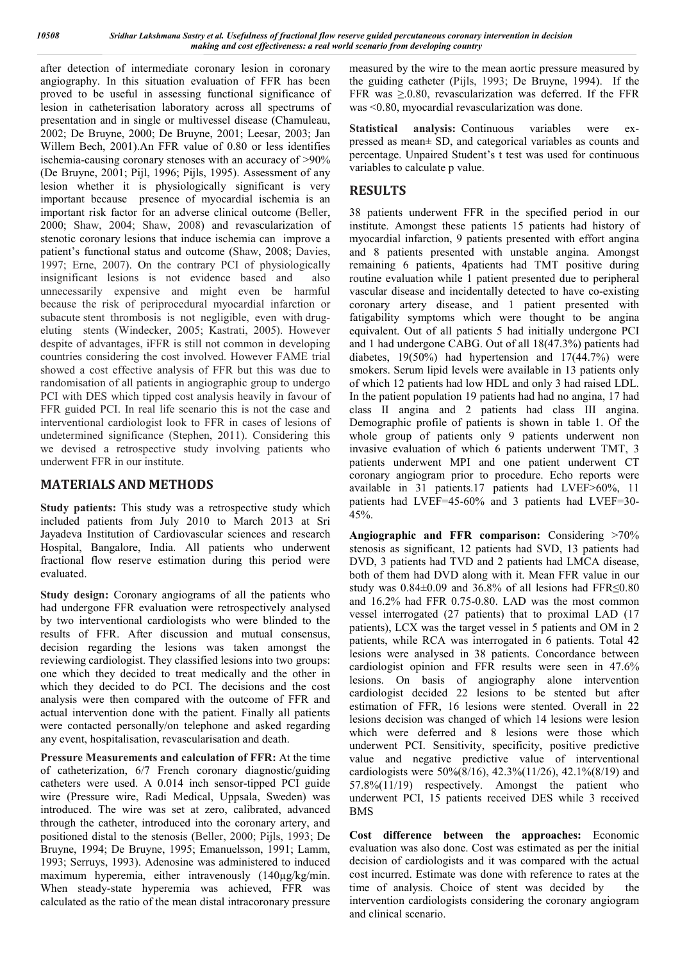after detection of intermediate coronary lesion in coronary angiography. In this situation evaluation of FFR has been proved to be useful in assessing functional significance of lesion in catheterisation laboratory across all spectrums of presentation and in single or multivessel disease (Chamuleau, 2002; De Bruyne, 2000; De Bruyne, 2001; Leesar, 2003; Jan Willem Bech, 2001).An FFR value of 0.80 or less identifies ischemia-causing coronary stenoses with an accuracy of >90% (De Bruyne, 2001; Pijl, 1996; Pijls, 1995). Assessment of any lesion whether it is physiologically significant is very important because presence of myocardial ischemia is an important risk factor for an adverse clinical outcome (Beller, 2000; Shaw, 2004; Shaw, 2008) and revascularization of stenotic coronary lesions that induce ischemia can improve a patient's functional status and outcome (Shaw, 2008; Davies, 1997; Erne, 2007). On the contrary PCI of physiologically insignificant lesions is not evidence based and also unnecessarily expensive and might even be harmful because the risk of periprocedural myocardial infarction or subacute stent thrombosis is not negligible, even with drugeluting stents (Windecker, 2005; Kastrati, 2005). However despite of advantages, iFFR is still not common in developing countries considering the cost involved. However FAME trial showed a cost effective analysis of FFR but this was due to randomisation of all patients in angiographic group to undergo PCI with DES which tipped cost analysis heavily in favour of FFR guided PCI. In real life scenario this is not the case and interventional cardiologist look to FFR in cases of lesions of undetermined significance (Stephen, 2011). Considering this we devised a retrospective study involving patients who underwent FFR in our institute.

#### **MATERIALS AND METHODS**

**Study patients:** This study was a retrospective study which included patients from July 2010 to March 2013 at Sri Jayadeva Institution of Cardiovascular sciences and research Hospital, Bangalore, India. All patients who underwent fractional flow reserve estimation during this period were evaluated.

**Study design:** Coronary angiograms of all the patients who had undergone FFR evaluation were retrospectively analysed by two interventional cardiologists who were blinded to the results of FFR. After discussion and mutual consensus, decision regarding the lesions was taken amongst the reviewing cardiologist. They classified lesions into two groups: one which they decided to treat medically and the other in which they decided to do PCI. The decisions and the cost analysis were then compared with the outcome of FFR and actual intervention done with the patient. Finally all patients were contacted personally/on telephone and asked regarding any event, hospitalisation, revascularisation and death.

**Pressure Measurements and calculation of FFR:** At the time of catheterization, 6/7 French coronary diagnostic/guiding catheters were used. A 0.014 inch sensor-tipped PCI guide wire (Pressure wire, Radi Medical, Uppsala, Sweden) was introduced. The wire was set at zero, calibrated, advanced through the catheter, introduced into the coronary artery, and positioned distal to the stenosis (Beller, 2000; Pijls, 1993; De Bruyne, 1994; De Bruyne, 1995; Emanuelsson, 1991; Lamm, 1993; Serruys, 1993). Adenosine was administered to induced maximum hyperemia, either intravenously (140µg/kg/min. When steady-state hyperemia was achieved, FFR was calculated as the ratio of the mean distal intracoronary pressure

measured by the wire to the mean aortic pressure measured by the guiding catheter (Pijls, 1993; De Bruyne, 1994). If the FFR was ≥.0.80, revascularization was deferred. If the FFR was <0.80, myocardial revascularization was done.

**Statistical analysis:** Continuous variables were expressed as mean± SD, and categorical variables as counts and percentage. Unpaired Student's t test was used for continuous variables to calculate p value.

# **RESULTS**

38 patients underwent FFR in the specified period in our institute. Amongst these patients 15 patients had history of myocardial infarction, 9 patients presented with effort angina and 8 patients presented with unstable angina. Amongst remaining 6 patients, 4patients had TMT positive during routine evaluation while 1 patient presented due to peripheral vascular disease and incidentally detected to have co-existing coronary artery disease, and 1 patient presented with fatigability symptoms which were thought to be angina equivalent. Out of all patients 5 had initially undergone PCI and 1 had undergone CABG. Out of all 18(47.3%) patients had diabetes, 19(50%) had hypertension and 17(44.7%) were smokers. Serum lipid levels were available in 13 patients only of which 12 patients had low HDL and only 3 had raised LDL. In the patient population 19 patients had had no angina, 17 had class II angina and 2 patients had class III angina. Demographic profile of patients is shown in table 1. Of the whole group of patients only 9 patients underwent non invasive evaluation of which 6 patients underwent TMT, 3 patients underwent MPI and one patient underwent CT coronary angiogram prior to procedure. Echo reports were available in 31 patients.17 patients had LVEF>60%, 11 patients had LVEF=45-60% and 3 patients had LVEF=30- 45%.

**Angiographic and FFR comparison:** Considering >70% stenosis as significant, 12 patients had SVD, 13 patients had DVD, 3 patients had TVD and 2 patients had LMCA disease, both of them had DVD along with it. Mean FFR value in our study was 0.84±0.09 and 36.8% of all lesions had FFR≤0.80 and 16.2% had FFR 0.75-0.80. LAD was the most common vessel interrogated (27 patients) that to proximal LAD (17 patients), LCX was the target vessel in 5 patients and OM in 2 patients, while RCA was interrogated in 6 patients. Total 42 lesions were analysed in 38 patients. Concordance between cardiologist opinion and FFR results were seen in 47.6% lesions. On basis of angiography alone intervention cardiologist decided 22 lesions to be stented but after estimation of FFR, 16 lesions were stented. Overall in 22 lesions decision was changed of which 14 lesions were lesion which were deferred and 8 lesions were those which underwent PCI. Sensitivity, specificity, positive predictive value and negative predictive value of interventional cardiologists were 50%(8/16), 42.3%(11/26), 42.1%(8/19) and 57.8%(11/19) respectively. Amongst the patient who underwent PCI, 15 patients received DES while 3 received BMS

**Cost difference between the approaches:** Economic evaluation was also done. Cost was estimated as per the initial decision of cardiologists and it was compared with the actual cost incurred. Estimate was done with reference to rates at the time of analysis. Choice of stent was decided by the intervention cardiologists considering the coronary angiogram and clinical scenario.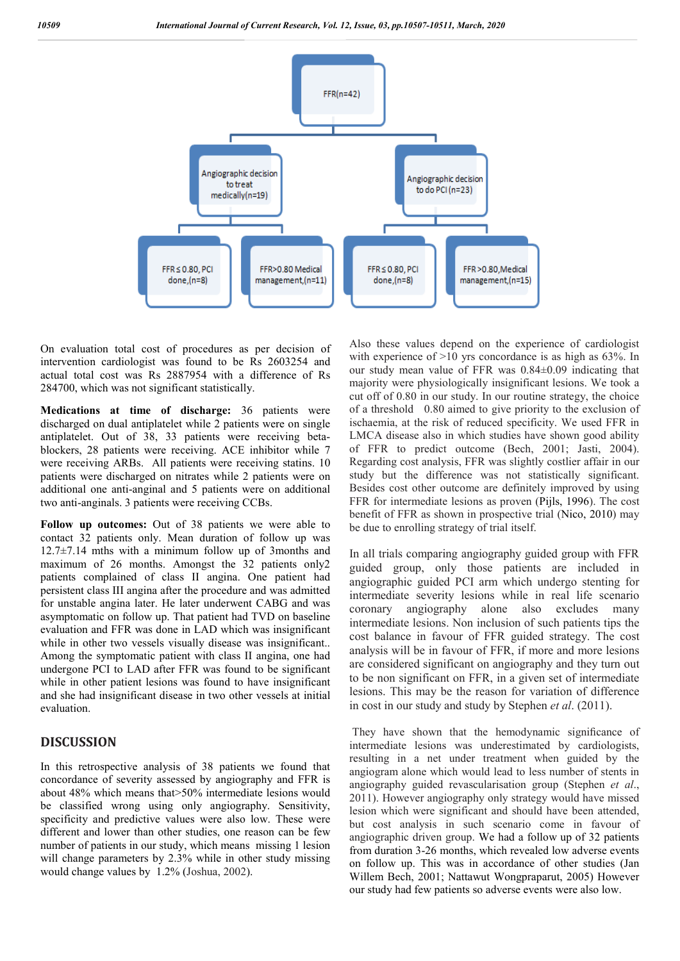

On evaluation total cost of procedures as per decision of intervention cardiologist was found to be Rs 2603254 and actual total cost was Rs 2887954 with a difference of Rs 284700, which was not significant statistically.

**Medications at time of discharge:** 36 patients were discharged on dual antiplatelet while 2 patients were on single antiplatelet. Out of 38, 33 patients were receiving betablockers, 28 patients were receiving. ACE inhibitor while 7 were receiving ARBs. All patients were receiving statins. 10 patients were discharged on nitrates while 2 patients were on additional one anti-anginal and 5 patients were on additional two anti-anginals. 3 patients were receiving CCBs.

**Follow up outcomes:** Out of 38 patients we were able to contact 32 patients only. Mean duration of follow up was  $12.7\pm7.14$  mths with a minimum follow up of 3months and maximum of 26 months. Amongst the 32 patients only2 patients complained of class II angina. One patient had persistent class III angina after the procedure and was admitted for unstable angina later. He later underwent CABG and was asymptomatic on follow up. That patient had TVD on baseline evaluation and FFR was done in LAD which was insignificant while in other two vessels visually disease was insignificant.. Among the symptomatic patient with class II angina, one had undergone PCI to LAD after FFR was found to be significant while in other patient lesions was found to have insignificant and she had insignificant disease in two other vessels at initial evaluation.

#### **DISCUSSION**

In this retrospective analysis of 38 patients we found that concordance of severity assessed by angiography and FFR is about 48% which means that>50% intermediate lesions would be classified wrong using only angiography. Sensitivity, specificity and predictive values were also low. These were different and lower than other studies, one reason can be few number of patients in our study, which means missing 1 lesion will change parameters by 2.3% while in other study missing would change values by 1.2% (Joshua, 2002).

Also these values depend on the experience of cardiologist with experience of  $>10$  yrs concordance is as high as 63%. In our study mean value of FFR was 0.84±0.09 indicating that majority were physiologically insignificant lesions. We took a cut off of 0.80 in our study. In our routine strategy, the choice of a threshold 0.80 aimed to give priority to the exclusion of ischaemia, at the risk of reduced specificity. We used FFR in LMCA disease also in which studies have shown good ability of FFR to predict outcome (Bech, 2001; Jasti, 2004). Regarding cost analysis, FFR was slightly costlier affair in our study but the difference was not statistically significant. Besides cost other outcome are definitely improved by using FFR for intermediate lesions as proven (Pijls, 1996). The cost benefit of FFR as shown in prospective trial (Nico, 2010) may be due to enrolling strategy of trial itself.

In all trials comparing angiography guided group with FFR guided group, only those patients are included in angiographic guided PCI arm which undergo stenting for intermediate severity lesions while in real life scenario coronary angiography alone also excludes many intermediate lesions. Non inclusion of such patients tips the cost balance in favour of FFR guided strategy. The cost analysis will be in favour of FFR, if more and more lesions are considered significant on angiography and they turn out to be non significant on FFR, in a given set of intermediate lesions. This may be the reason for variation of difference in cost in our study and study by Stephen *et al*. (2011).

They have shown that the hemodynamic significance of intermediate lesions was underestimated by cardiologists, resulting in a net under treatment when guided by the angiogram alone which would lead to less number of stents in angiography guided revascularisation group (Stephen *et al*., 2011). However angiography only strategy would have missed lesion which were significant and should have been attended, but cost analysis in such scenario come in favour of angiographic driven group. We had a follow up of 32 patients from duration 3-26 months, which revealed low adverse events on follow up. This was in accordance of other studies (Jan Willem Bech, 2001; Nattawut Wongpraparut, 2005) However our study had few patients so adverse events were also low.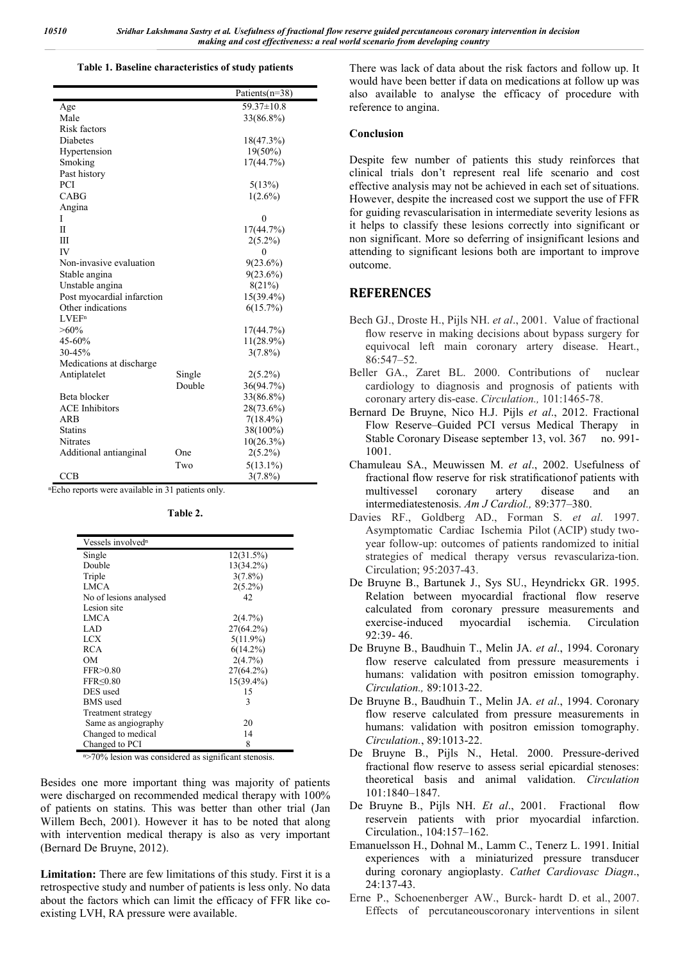#### **Table 1. Baseline characteristics of study patients**

|                            |        | Patients(n=38) |
|----------------------------|--------|----------------|
| Age                        |        | 59.37±10.8     |
| Male                       |        | 33(86.8%)      |
| Risk factors               |        |                |
| <b>Diabetes</b>            |        | 18(47.3%)      |
| Hypertension               |        | $19(50\%)$     |
| Smoking                    |        | 17(44.7%)      |
| Past history               |        |                |
| PCI                        |        | 5(13%)         |
| CABG                       |        | $1(2.6\%)$     |
| Angina                     |        |                |
| Ι                          |        | $\theta$       |
| H                          |        | 17(44.7%)      |
| Ш                          |        | $2(5.2\%)$     |
| IV                         |        | 0              |
| Non-invasive evaluation    |        | $9(23.6\%)$    |
| Stable angina              |        | $9(23.6\%)$    |
| Unstable angina            |        | 8(21%)         |
| Post myocardial infarction |        | 15(39.4%)      |
| Other indications          |        | 6(15.7%)       |
| LVEF <sup>n</sup>          |        |                |
| $>60\%$                    |        | 17(44.7%)      |
| 45-60%                     |        | 11(28.9%)      |
| 30-45%                     |        | $3(7.8\%)$     |
| Medications at discharge   |        |                |
| Antiplatelet               | Single | $2(5.2\%)$     |
|                            | Double | 36(94.7%)      |
| Beta blocker               |        | 33(86.8%)      |
| <b>ACE</b> Inhibitors      |        | 28(73.6%)      |
| ARB                        |        | $7(18.4\%)$    |
| <b>Statins</b>             |        | 38(100%)       |
| <b>Nitrates</b>            |        | $10(26.3\%)$   |
| Additional antianginal     | One    | $2(5.2\%)$     |
|                            | Two    | $5(13.1\%)$    |
| CCB                        |        | $3(7.8\%)$     |

ⁿEcho reports were available in 31 patients only.

**Table 2.**

| Vessels involved <sup>n</sup> |              |
|-------------------------------|--------------|
| Single                        | 12(31.5%)    |
| Double                        | 13(34.2%)    |
| Triple                        | $3(7.8\%)$   |
| <b>LMCA</b>                   | $2(5.2\%)$   |
| No of lesions analysed        | 42           |
| Lesion site                   |              |
| <b>LMCA</b>                   | 2(4.7%)      |
| LAD                           | 27(64.2%)    |
| LCX                           | $5(11.9\%)$  |
| <b>RCA</b>                    | $6(14.2\%)$  |
| OМ                            | $2(4.7\%)$   |
| FFR>0.80                      | 27(64.2%)    |
| FFR<0.80                      | $15(39.4\%)$ |
| DES used                      | 15           |
| <b>BMS</b> used               | 3            |
| Treatment strategy            |              |
| Same as angiography           | 20           |
| Changed to medical            | 14           |
| Changed to PCI                | 8            |

<sup>n</sup>>70% lesion was considered as significant stenosis.

Besides one more important thing was majority of patients were discharged on recommended medical therapy with 100% of patients on statins. This was better than other trial (Jan Willem Bech, 2001). However it has to be noted that along with intervention medical therapy is also as very important (Bernard De Bruyne, 2012).

**Limitation:** There are few limitations of this study. First it is a retrospective study and number of patients is less only. No data about the factors which can limit the efficacy of FFR like coexisting LVH, RA pressure were available.

There was lack of data about the risk factors and follow up. It would have been better if data on medications at follow up was also available to analyse the efficacy of procedure with reference to angina.

#### **Conclusion**

Despite few number of patients this study reinforces that clinical trials don't represent real life scenario and cost effective analysis may not be achieved in each set of situations. However, despite the increased cost we support the use of FFR for guiding revascularisation in intermediate severity lesions as it helps to classify these lesions correctly into significant or non significant. More so deferring of insignificant lesions and attending to significant lesions both are important to improve outcome.

#### **REFERENCES**

- Bech GJ., Droste H., Pijls NH. *et al*., 2001. Value of fractional flow reserve in making decisions about bypass surgery for equivocal left main coronary artery disease. Heart., 86:547–52.
- Beller GA., Zaret BL. 2000. Contributions of nuclear cardiology to diagnosis and prognosis of patients with coronary artery dis-ease. *Circulation.,* 101:1465-78.
- Bernard De Bruyne, Nico H.J. Pijls *et al*., 2012. Fractional Flow Reserve–Guided PCI versus Medical Therapy in Stable Coronary Disease september 13, vol. 367 no. 991-1001.
- Chamuleau SA., Meuwissen M. *et al*., 2002. Usefulness of fractional flow reserve for risk stratificationof patients with multivessel coronary artery disease and an intermediatestenosis. *Am J Cardiol.,* 89:377–380.
- Davies RF., Goldberg AD., Forman S. *et al*. 1997. Asymptomatic Cardiac Ischemia Pilot (ACIP) study twoyear follow-up: outcomes of patients randomized to initial strategies of medical therapy versus revasculariza-tion. Circulation; 95:2037-43.
- De Bruyne B., Bartunek J., Sys SU., Heyndrickx GR. 1995. Relation between myocardial fractional flow reserve calculated from coronary pressure measurements and exercise-induced myocardial ischemia. Circulation 92:39- 46.
- De Bruyne B., Baudhuin T., Melin JA. *et al*., 1994. Coronary flow reserve calculated from pressure measurements i humans: validation with positron emission tomography. *Circulation.,* 89:1013-22.
- De Bruyne B., Baudhuin T., Melin JA. *et al*., 1994. Coronary flow reserve calculated from pressure measurements in humans: validation with positron emission tomography. *Circulation.*, 89:1013-22.
- De Bruyne B., Pijls N., Hetal. 2000. Pressure-derived fractional flow reserve to assess serial epicardial stenoses: theoretical basis and animal validation. *Circulation* 101:1840–1847.
- De Bruyne B., Pijls NH. *Et al*., 2001. Fractional flow reservein patients with prior myocardial infarction. Circulation., 104:157–162.
- Emanuelsson H., Dohnal M., Lamm C., Tenerz L. 1991. Initial experiences with a miniaturized pressure transducer during coronary angioplasty. *Cathet Cardiovasc Diagn*., 24:137-43.
- Erne P., Schoenenberger AW., Burck- hardt D. et al., 2007. Effects of percutaneouscoronary interventions in silent